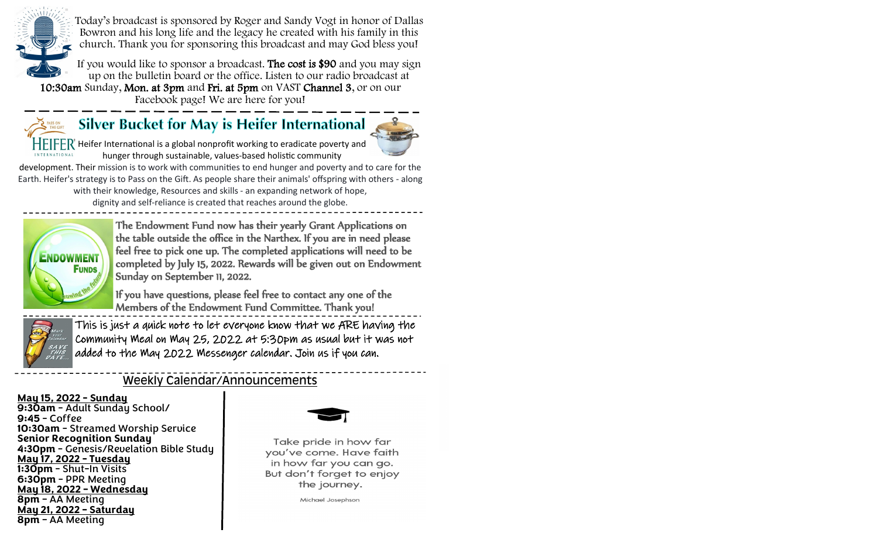

Today's broadcast is sponsored by Roger and Sandy Vogt in honor of Dallas Bowron and his long life and the legacy he created with his family in this church. Thank you for sponsoring this broadcast and may God bless you!

If you would like to sponsor a broadcast. The cost is \$90 and you may sign up on the bulletin board or the office. Listen to our radio broadcast at 10:30am Sunday, Mon. at 3pm and Fri. at 5pm on VAST Channel 3, or on our

Facebook page! We are here for you!



# Silver Bucket for May is Heifer International



Heifer International is a global nonprofit working to eradicate poverty and hunger through sustainable, values-based holistic community

development. Their mission is to work with communities to end hunger and poverty and to care for the Earth. Heifer's strategy is to Pass on the Gift. As people share their animals' offspring with others - along with their knowledge, Resources and skills - an expanding network of hope, dignity and self-reliance is created that reaches around the globe.



The Endowment Fund now has their yearly Grant Applications on the table outside the office in the Narthex. If you are in need please feel free to pick one up. The completed applications will need to be completed by July 15, 2022. Rewards will be given out on Endowment Sunday on September 11, 2022.

If you have questions, please feel free to contact any one of the Members of the Endowment Fund Committee. Thank you!



This is just a quick note to let everyone know that we ARE having the Community Meal on May 25, 2022 at 5:30pm as usual but it was not added to the May 2022 Messenger calendar. Join us if you can.

## Weekly Calendar/Announcements

#### **May 15, 2022 - Sunday**

**9:30am** - Adult Sunday School/ **9:45** - Coffee **10:30am** - Streamed Worship Service **Senior Recognition Sunday 4:30pm** - Genesis/Revelation Bible Study **May 17, 2022 - Tuesday 1:30pm** - Shut-In Visits **6:30pm** - PPR Meeting **May 18, 2022 – Wednesday 8pm** – AA Meeting **May 21, 2022 – Saturday 8pm** – AA Meeting



Take pride in how far you've come. Have faith in how far you can go. But don't forget to enjoy the journey.

Michael Josephson